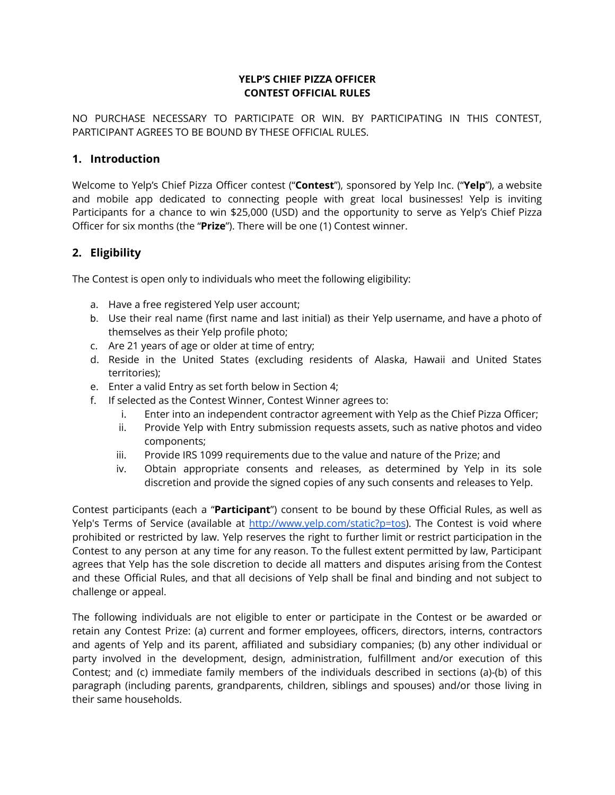#### **YELP'S CHIEF PIZZA OFFICER CONTEST OFFICIAL RULES**

NO PURCHASE NECESSARY TO PARTICIPATE OR WIN. BY PARTICIPATING IN THIS CONTEST, PARTICIPANT AGREES TO BE BOUND BY THESE OFFICIAL RULES.

#### **1. Introduction**

Welcome to Yelp's Chief Pizza Officer contest ("**Contest**"), sponsored by Yelp Inc. ("**Yelp**"), a website and mobile app dedicated to connecting people with great local businesses! Yelp is inviting Participants for a chance to win \$25,000 (USD) and the opportunity to serve as Yelp's Chief Pizza Officer for six months (the "**Prize**"). There will be one (1) Contest winner.

# **2. Eligibility**

The Contest is open only to individuals who meet the following eligibility:

- a. Have a free registered Yelp user account;
- b. Use their real name (first name and last initial) as their Yelp username, and have a photo of themselves as their Yelp profile photo;
- c. Are 21 years of age or older at time of entry;
- d. Reside in the United States (excluding residents of Alaska, Hawaii and United States territories);
- e. Enter a valid Entry as set forth below in Section 4;
- f. If selected as the Contest Winner, Contest Winner agrees to:
	- i. Enter into an independent contractor agreement with Yelp as the Chief Pizza Officer;
	- ii. Provide Yelp with Entry submission requests assets, such as native photos and video components;
	- iii. Provide IRS 1099 requirements due to the value and nature of the Prize; and
	- iv. Obtain appropriate consents and releases, as determined by Yelp in its sole discretion and provide the signed copies of any such consents and releases to Yelp.

Contest participants (each a "**Participant**") consent to be bound by these Official Rules, as well as Yelp's Terms of Service (available at <http://www.yelp.com/static?p=tos>). The Contest is void where prohibited or restricted by law. Yelp reserves the right to further limit or restrict participation in the Contest to any person at any time for any reason. To the fullest extent permitted by law, Participant agrees that Yelp has the sole discretion to decide all matters and disputes arising from the Contest and these Official Rules, and that all decisions of Yelp shall be final and binding and not subject to challenge or appeal.

The following individuals are not eligible to enter or participate in the Contest or be awarded or retain any Contest Prize: (a) current and former employees, officers, directors, interns, contractors and agents of Yelp and its parent, affiliated and subsidiary companies; (b) any other individual or party involved in the development, design, administration, fulfillment and/or execution of this Contest; and (c) immediate family members of the individuals described in sections (a)-(b) of this paragraph (including parents, grandparents, children, siblings and spouses) and/or those living in their same households.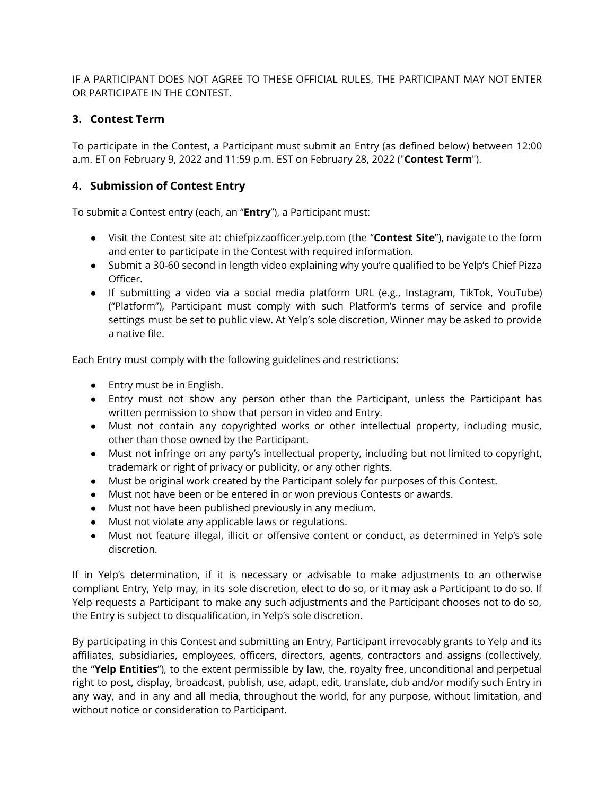IF A PARTICIPANT DOES NOT AGREE TO THESE OFFICIAL RULES, THE PARTICIPANT MAY NOT ENTER OR PARTICIPATE IN THE CONTEST.

# **3. Contest Term**

To participate in the Contest, a Participant must submit an Entry (as defined below) between 12:00 a.m. ET on February 9, 2022 and 11:59 p.m. EST on February 28, 2022 ("**Contest Term**").

# **4. Submission of Contest Entry**

To submit a Contest entry (each, an "**Entry**"), a Participant must:

- Visit the Contest site at: chiefpizzaofficer.yelp.com (the "**Contest Site**"), navigate to the form and enter to participate in the Contest with required information.
- Submit a 30-60 second in length video explaining why you're qualified to be Yelp's Chief Pizza Officer.
- If submitting a video via a social media platform URL (e.g., Instagram, TikTok, YouTube) ("Platform"), Participant must comply with such Platform's terms of service and profile settings must be set to public view. At Yelp's sole discretion, Winner may be asked to provide a native file.

Each Entry must comply with the following guidelines and restrictions:

- Entry must be in English.
- Entry must not show any person other than the Participant, unless the Participant has written permission to show that person in video and Entry.
- Must not contain any copyrighted works or other intellectual property, including music, other than those owned by the Participant.
- Must not infringe on any party's intellectual property, including but not limited to copyright, trademark or right of privacy or publicity, or any other rights.
- Must be original work created by the Participant solely for purposes of this Contest.
- Must not have been or be entered in or won previous Contests or awards.
- Must not have been published previously in any medium.
- Must not violate any applicable laws or regulations.
- Must not feature illegal, illicit or offensive content or conduct, as determined in Yelp's sole discretion.

If in Yelp's determination, if it is necessary or advisable to make adjustments to an otherwise compliant Entry, Yelp may, in its sole discretion, elect to do so, or it may ask a Participant to do so. If Yelp requests a Participant to make any such adjustments and the Participant chooses not to do so, the Entry is subject to disqualification, in Yelp's sole discretion.

By participating in this Contest and submitting an Entry, Participant irrevocably grants to Yelp and its affiliates, subsidiaries, employees, officers, directors, agents, contractors and assigns (collectively, the "**Yelp Entities**"), to the extent permissible by law, the, royalty free, unconditional and perpetual right to post, display, broadcast, publish, use, adapt, edit, translate, dub and/or modify such Entry in any way, and in any and all media, throughout the world, for any purpose, without limitation, and without notice or consideration to Participant.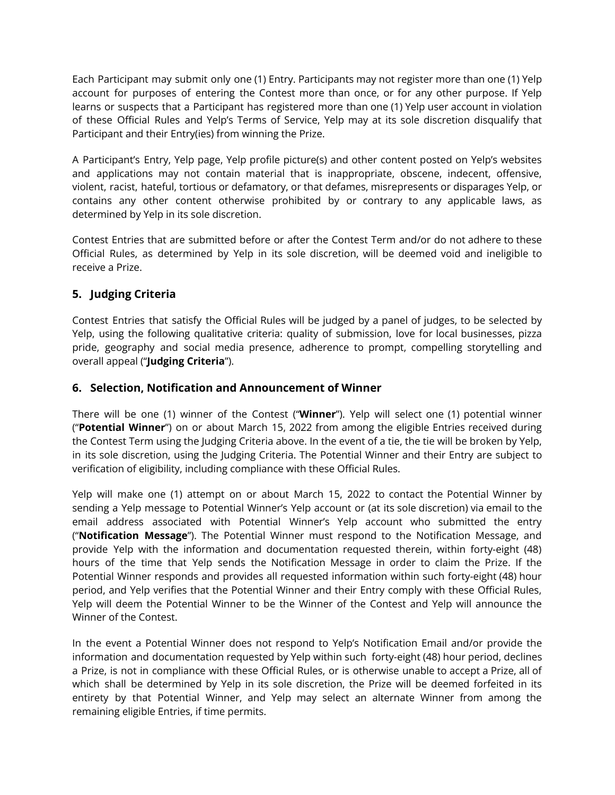Each Participant may submit only one (1) Entry. Participants may not register more than one (1) Yelp account for purposes of entering the Contest more than once, or for any other purpose. If Yelp learns or suspects that a Participant has registered more than one (1) Yelp user account in violation of these Official Rules and Yelp's Terms of Service, Yelp may at its sole discretion disqualify that Participant and their Entry(ies) from winning the Prize.

A Participant's Entry, Yelp page, Yelp profile picture(s) and other content posted on Yelp's websites and applications may not contain material that is inappropriate, obscene, indecent, offensive, violent, racist, hateful, tortious or defamatory, or that defames, misrepresents or disparages Yelp, or contains any other content otherwise prohibited by or contrary to any applicable laws, as determined by Yelp in its sole discretion.

Contest Entries that are submitted before or after the Contest Term and/or do not adhere to these Official Rules, as determined by Yelp in its sole discretion, will be deemed void and ineligible to receive a Prize.

# **5. Judging Criteria**

Contest Entries that satisfy the Official Rules will be judged by a panel of judges, to be selected by Yelp, using the following qualitative criteria: quality of submission, love for local businesses, pizza pride, geography and social media presence, adherence to prompt, compelling storytelling and overall appeal ("**Judging Criteria**").

# **6. Selection, Notification and Announcement of Winner**

There will be one (1) winner of the Contest ("**Winner**"). Yelp will select one (1) potential winner ("**Potential Winner**") on or about March 15, 2022 from among the eligible Entries received during the Contest Term using the Judging Criteria above. In the event of a tie, the tie will be broken by Yelp, in its sole discretion, using the Judging Criteria. The Potential Winner and their Entry are subject to verification of eligibility, including compliance with these Official Rules.

Yelp will make one (1) attempt on or about March 15, 2022 to contact the Potential Winner by sending a Yelp message to Potential Winner's Yelp account or (at its sole discretion) via email to the email address associated with Potential Winner's Yelp account who submitted the entry ("**Notification Message**"). The Potential Winner must respond to the Notification Message, and provide Yelp with the information and documentation requested therein, within forty-eight (48) hours of the time that Yelp sends the Notification Message in order to claim the Prize. If the Potential Winner responds and provides all requested information within such forty-eight (48) hour period, and Yelp verifies that the Potential Winner and their Entry comply with these Official Rules, Yelp will deem the Potential Winner to be the Winner of the Contest and Yelp will announce the Winner of the Contest.

In the event a Potential Winner does not respond to Yelp's Notification Email and/or provide the information and documentation requested by Yelp within such forty-eight (48) hour period, declines a Prize, is not in compliance with these Official Rules, or is otherwise unable to accept a Prize, all of which shall be determined by Yelp in its sole discretion, the Prize will be deemed forfeited in its entirety by that Potential Winner, and Yelp may select an alternate Winner from among the remaining eligible Entries, if time permits.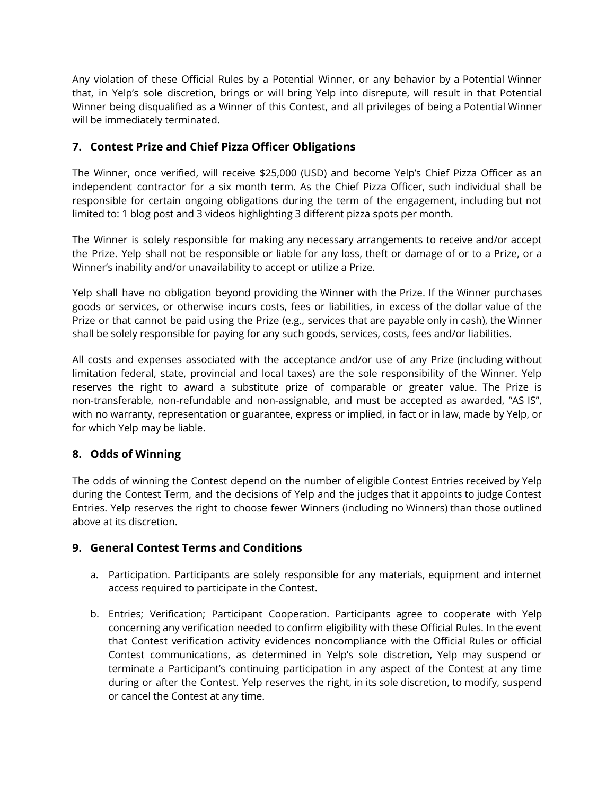Any violation of these Official Rules by a Potential Winner, or any behavior by a Potential Winner that, in Yelp's sole discretion, brings or will bring Yelp into disrepute, will result in that Potential Winner being disqualified as a Winner of this Contest, and all privileges of being a Potential Winner will be immediately terminated.

# **7. Contest Prize and Chief Pizza Officer Obligations**

The Winner, once verified, will receive \$25,000 (USD) and become Yelp's Chief Pizza Officer as an independent contractor for a six month term. As the Chief Pizza Officer, such individual shall be responsible for certain ongoing obligations during the term of the engagement, including but not limited to: 1 blog post and 3 videos highlighting 3 different pizza spots per month.

The Winner is solely responsible for making any necessary arrangements to receive and/or accept the Prize. Yelp shall not be responsible or liable for any loss, theft or damage of or to a Prize, or a Winner's inability and/or unavailability to accept or utilize a Prize.

Yelp shall have no obligation beyond providing the Winner with the Prize. If the Winner purchases goods or services, or otherwise incurs costs, fees or liabilities, in excess of the dollar value of the Prize or that cannot be paid using the Prize (e.g., services that are payable only in cash), the Winner shall be solely responsible for paying for any such goods, services, costs, fees and/or liabilities.

All costs and expenses associated with the acceptance and/or use of any Prize (including without limitation federal, state, provincial and local taxes) are the sole responsibility of the Winner. Yelp reserves the right to award a substitute prize of comparable or greater value. The Prize is non-transferable, non-refundable and non-assignable, and must be accepted as awarded, "AS IS", with no warranty, representation or guarantee, express or implied, in fact or in law, made by Yelp, or for which Yelp may be liable.

# **8. Odds of Winning**

The odds of winning the Contest depend on the number of eligible Contest Entries received by Yelp during the Contest Term, and the decisions of Yelp and the judges that it appoints to judge Contest Entries. Yelp reserves the right to choose fewer Winners (including no Winners) than those outlined above at its discretion.

# **9. General Contest Terms and Conditions**

- a. Participation. Participants are solely responsible for any materials, equipment and internet access required to participate in the Contest.
- b. Entries; Verification; Participant Cooperation. Participants agree to cooperate with Yelp concerning any verification needed to confirm eligibility with these Official Rules. In the event that Contest verification activity evidences noncompliance with the Official Rules or official Contest communications, as determined in Yelp's sole discretion, Yelp may suspend or terminate a Participant's continuing participation in any aspect of the Contest at any time during or after the Contest. Yelp reserves the right, in its sole discretion, to modify, suspend or cancel the Contest at any time.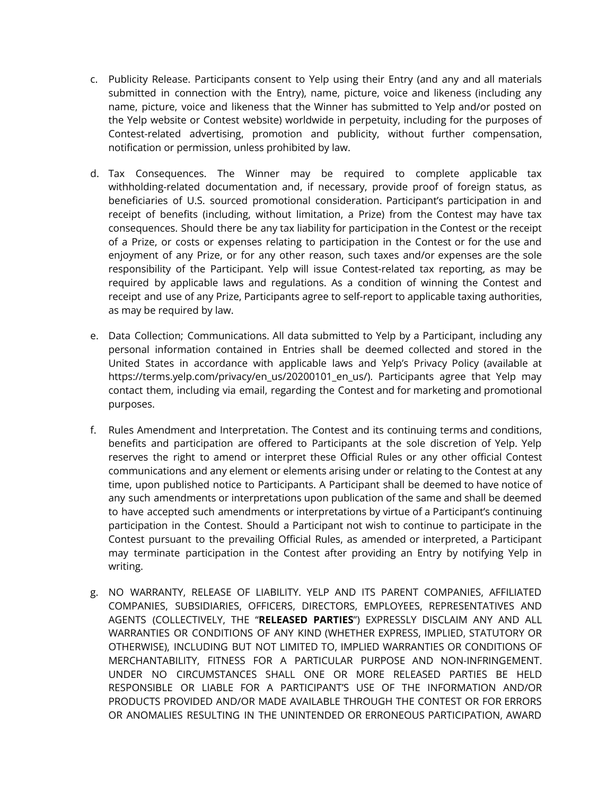- c. Publicity Release. Participants consent to Yelp using their Entry (and any and all materials submitted in connection with the Entry), name, picture, voice and likeness (including any name, picture, voice and likeness that the Winner has submitted to Yelp and/or posted on the Yelp website or Contest website) worldwide in perpetuity, including for the purposes of Contest-related advertising, promotion and publicity, without further compensation, notification or permission, unless prohibited by law.
- d. Tax Consequences. The Winner may be required to complete applicable tax withholding-related documentation and, if necessary, provide proof of foreign status, as beneficiaries of U.S. sourced promotional consideration. Participant's participation in and receipt of benefits (including, without limitation, a Prize) from the Contest may have tax consequences. Should there be any tax liability for participation in the Contest or the receipt of a Prize, or costs or expenses relating to participation in the Contest or for the use and enjoyment of any Prize, or for any other reason, such taxes and/or expenses are the sole responsibility of the Participant. Yelp will issue Contest-related tax reporting, as may be required by applicable laws and regulations. As a condition of winning the Contest and receipt and use of any Prize, Participants agree to self-report to applicable taxing authorities, as may be required by law.
- e. Data Collection; Communications. All data submitted to Yelp by a Participant, including any personal information contained in Entries shall be deemed collected and stored in the United States in accordance with applicable laws and Yelp's Privacy Policy (available at https://terms.yelp.com/privacy/en\_us/20200101\_en\_us/). Participants agree that Yelp may contact them, including via email, regarding the Contest and for marketing and promotional purposes.
- f. Rules Amendment and Interpretation. The Contest and its continuing terms and conditions, benefits and participation are offered to Participants at the sole discretion of Yelp. Yelp reserves the right to amend or interpret these Official Rules or any other official Contest communications and any element or elements arising under or relating to the Contest at any time, upon published notice to Participants. A Participant shall be deemed to have notice of any such amendments or interpretations upon publication of the same and shall be deemed to have accepted such amendments or interpretations by virtue of a Participant's continuing participation in the Contest. Should a Participant not wish to continue to participate in the Contest pursuant to the prevailing Official Rules, as amended or interpreted, a Participant may terminate participation in the Contest after providing an Entry by notifying Yelp in writing.
- g. NO WARRANTY, RELEASE OF LIABILITY. YELP AND ITS PARENT COMPANIES, AFFILIATED COMPANIES, SUBSIDIARIES, OFFICERS, DIRECTORS, EMPLOYEES, REPRESENTATIVES AND AGENTS (COLLECTIVELY, THE "**RELEASED PARTIES**") EXPRESSLY DISCLAIM ANY AND ALL WARRANTIES OR CONDITIONS OF ANY KIND (WHETHER EXPRESS, IMPLIED, STATUTORY OR OTHERWISE), INCLUDING BUT NOT LIMITED TO, IMPLIED WARRANTIES OR CONDITIONS OF MERCHANTABILITY, FITNESS FOR A PARTICULAR PURPOSE AND NON-INFRINGEMENT. UNDER NO CIRCUMSTANCES SHALL ONE OR MORE RELEASED PARTIES BE HELD RESPONSIBLE OR LIABLE FOR A PARTICIPANT'S USE OF THE INFORMATION AND/OR PRODUCTS PROVIDED AND/OR MADE AVAILABLE THROUGH THE CONTEST OR FOR ERRORS OR ANOMALIES RESULTING IN THE UNINTENDED OR ERRONEOUS PARTICIPATION, AWARD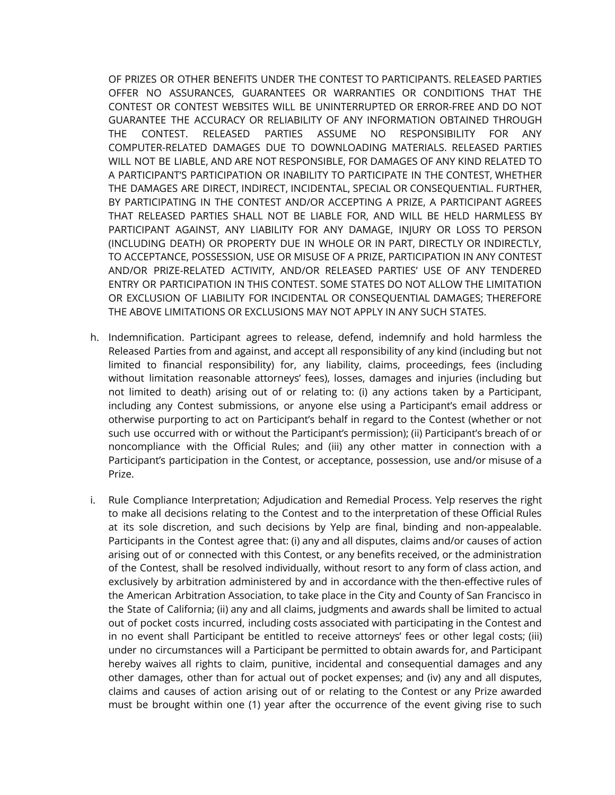OF PRIZES OR OTHER BENEFITS UNDER THE CONTEST TO PARTICIPANTS. RELEASED PARTIES OFFER NO ASSURANCES, GUARANTEES OR WARRANTIES OR CONDITIONS THAT THE CONTEST OR CONTEST WEBSITES WILL BE UNINTERRUPTED OR ERROR-FREE AND DO NOT GUARANTEE THE ACCURACY OR RELIABILITY OF ANY INFORMATION OBTAINED THROUGH THE CONTEST. RELEASED PARTIES ASSUME NO RESPONSIBILITY FOR ANY COMPUTER-RELATED DAMAGES DUE TO DOWNLOADING MATERIALS. RELEASED PARTIES WILL NOT BE LIABLE, AND ARE NOT RESPONSIBLE, FOR DAMAGES OF ANY KIND RELATED TO A PARTICIPANT'S PARTICIPATION OR INABILITY TO PARTICIPATE IN THE CONTEST, WHETHER THE DAMAGES ARE DIRECT, INDIRECT, INCIDENTAL, SPECIAL OR CONSEQUENTIAL. FURTHER, BY PARTICIPATING IN THE CONTEST AND/OR ACCEPTING A PRIZE, A PARTICIPANT AGREES THAT RELEASED PARTIES SHALL NOT BE LIABLE FOR, AND WILL BE HELD HARMLESS BY PARTICIPANT AGAINST, ANY LIABILITY FOR ANY DAMAGE, INJURY OR LOSS TO PERSON (INCLUDING DEATH) OR PROPERTY DUE IN WHOLE OR IN PART, DIRECTLY OR INDIRECTLY, TO ACCEPTANCE, POSSESSION, USE OR MISUSE OF A PRIZE, PARTICIPATION IN ANY CONTEST AND/OR PRIZE-RELATED ACTIVITY, AND/OR RELEASED PARTIES' USE OF ANY TENDERED ENTRY OR PARTICIPATION IN THIS CONTEST. SOME STATES DO NOT ALLOW THE LIMITATION OR EXCLUSION OF LIABILITY FOR INCIDENTAL OR CONSEQUENTIAL DAMAGES; THEREFORE THE ABOVE LIMITATIONS OR EXCLUSIONS MAY NOT APPLY IN ANY SUCH STATES.

- h. Indemnification. Participant agrees to release, defend, indemnify and hold harmless the Released Parties from and against, and accept all responsibility of any kind (including but not limited to financial responsibility) for, any liability, claims, proceedings, fees (including without limitation reasonable attorneys' fees), losses, damages and injuries (including but not limited to death) arising out of or relating to: (i) any actions taken by a Participant, including any Contest submissions, or anyone else using a Participant's email address or otherwise purporting to act on Participant's behalf in regard to the Contest (whether or not such use occurred with or without the Participant's permission); (ii) Participant's breach of or noncompliance with the Official Rules; and (iii) any other matter in connection with a Participant's participation in the Contest, or acceptance, possession, use and/or misuse of a Prize.
- i. Rule Compliance Interpretation; Adjudication and Remedial Process. Yelp reserves the right to make all decisions relating to the Contest and to the interpretation of these Official Rules at its sole discretion, and such decisions by Yelp are final, binding and non-appealable. Participants in the Contest agree that: (i) any and all disputes, claims and/or causes of action arising out of or connected with this Contest, or any benefits received, or the administration of the Contest, shall be resolved individually, without resort to any form of class action, and exclusively by arbitration administered by and in accordance with the then-effective rules of the American Arbitration Association, to take place in the City and County of San Francisco in the State of California; (ii) any and all claims, judgments and awards shall be limited to actual out of pocket costs incurred, including costs associated with participating in the Contest and in no event shall Participant be entitled to receive attorneys' fees or other legal costs; (iii) under no circumstances will a Participant be permitted to obtain awards for, and Participant hereby waives all rights to claim, punitive, incidental and consequential damages and any other damages, other than for actual out of pocket expenses; and (iv) any and all disputes, claims and causes of action arising out of or relating to the Contest or any Prize awarded must be brought within one (1) year after the occurrence of the event giving rise to such